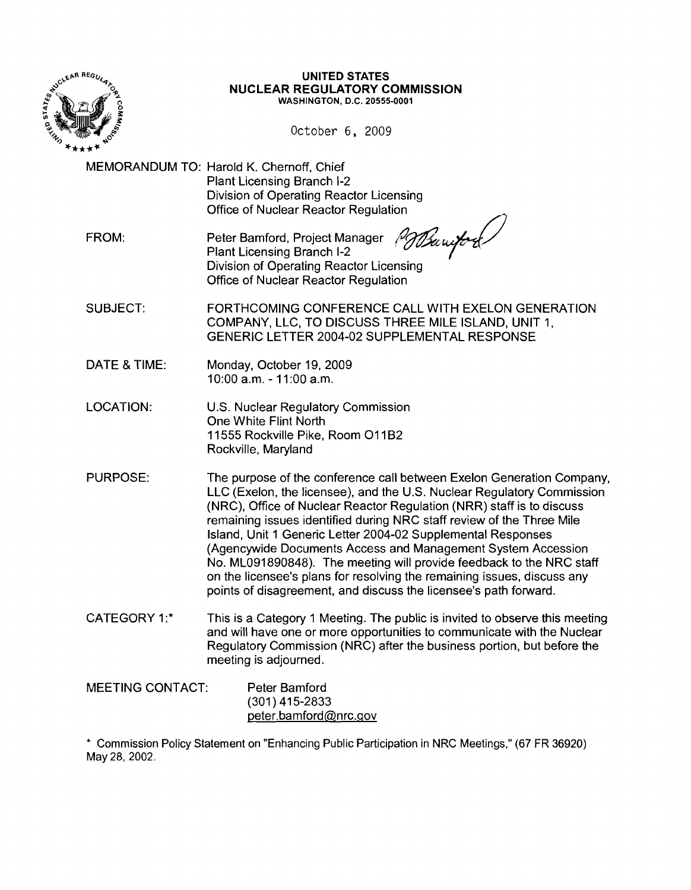

#### **UNITED** STATES **NUCLEAR REGULATORY COMMISSION** WASHINGTON, D.C. 20555-0001

October 6, 2009

MEMORANDUM TO: Harold K. Chernoff, Chief Plant Licensing Branch 1-2 Division of Operating Reactor Licensing Office of Nuclear Reactor Regulation

FROM: Peter Bamford, Project Manager<br>Plant Licensing Branch I-2 PD Barriford Division of Operating Reactor Licensing Office of Nuclear Reactor Regulation

SUBJECT: FORTHCOMING CONFERENCE CALL WITH EXELON GENERATION COMPANY, LLC, TO DISCUSS THREE MILE ISLAND, UNIT 1, GENERIC LETTER 2004-02 SUPPLEMENTAL RESPONSE

- DATE & TIME: Monday, October 19, 2009 10:00 a.m. - 11 :00 a.m.
- LOCATION: U.S. Nuclear Regulatory Commission One White Flint North 11555 Rockville Pike, Room O11B2 Rockville, Maryland
- PURPOSE: The purpose of the conference call between Exelon Generation Company, LLC (Exelon, the licensee), and the U.S. Nuclear Regulatory Commission (NRC), Office of Nuclear Reactor Regulation (NRR) staff is to discuss remaining issues identified during NRC staff review of the Three Mile Island, Unit 1 Generic Letter 2004-02 Supplemental Responses (Agencywide Documents Access and Management System Accession No. ML091890848). The meeting will provide feedback to the NRC staff on the licensee's plans for resolving the remaining issues, discuss any points of disagreement, and discuss the licensee's path forward.
- CATEGORY 1:<sup>\*</sup> This is a Category 1 Meeting. The public is invited to observe this meeting and will have one or more opportunities to communicate with the Nuclear Regulatory Commission (NRC) after the business portion, but before the meeting is adjourned.

| <b>MEETING CONTACT:</b> | Peter Bamford         |  |
|-------------------------|-----------------------|--|
|                         | $(301)$ 415-2833      |  |
|                         | peter.bamford@nrc.gov |  |

\* Commission Policy Statement on "Enhancing Public Participation in NRC Meetings," (67 FR 36920) May 28, 2002.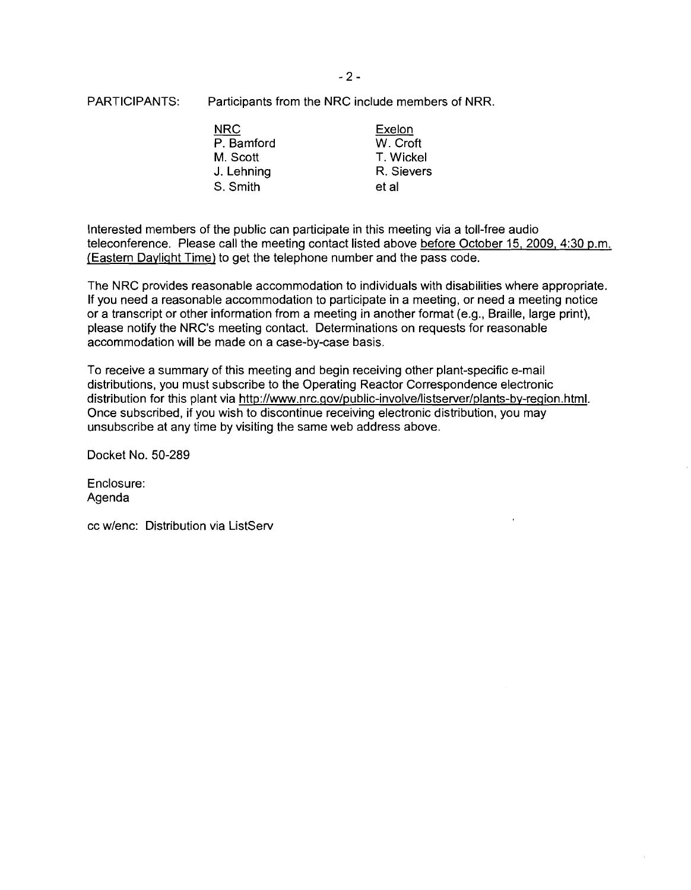PARTICIPANTS: Participants from the NRC include members of NRR.

| <b>NRC</b> | <b>Exelon</b> |
|------------|---------------|
| P. Bamford | W. Croft      |
| M. Scott   | T. Wickel     |
| J. Lehning | R. Sievers    |
| S. Smith   | et al         |

Interested members of the public can participate in this meeting via a toll-free audio teleconference. Please call the meeting contact listed above before October 15, 2009, 4:30 p.m. (Eastern Daylight Time) to get the telephone number and the pass code.

The NRC provides reasonable accommodation to individuals with disabilities where appropriate. If you need a reasonable accommodation to participate in a meeting, or need a meeting notice or a transcript or other information from a meeting in another format (e.g., Braille, large print), please notify the NRC's meeting contact. Determinations on requests for reasonable accommodation will be made on a case-by-case basis.

To receive a summary of this meeting and begin receiving other plant-specific e-mail distributions, you must subscribe to the Operating Reactor Correspondence electronic distribution for this plant via http://www.nrc.gov/public-involve/listserver/plants-by-region.html. Once subscribed, if you wish to discontinue receiving electronic distribution, you may unsubscribe at any time by visiting the same web address above.

Docket No. 50-289

Enclosure: Agenda

cc w/enc: Distribution via ListServ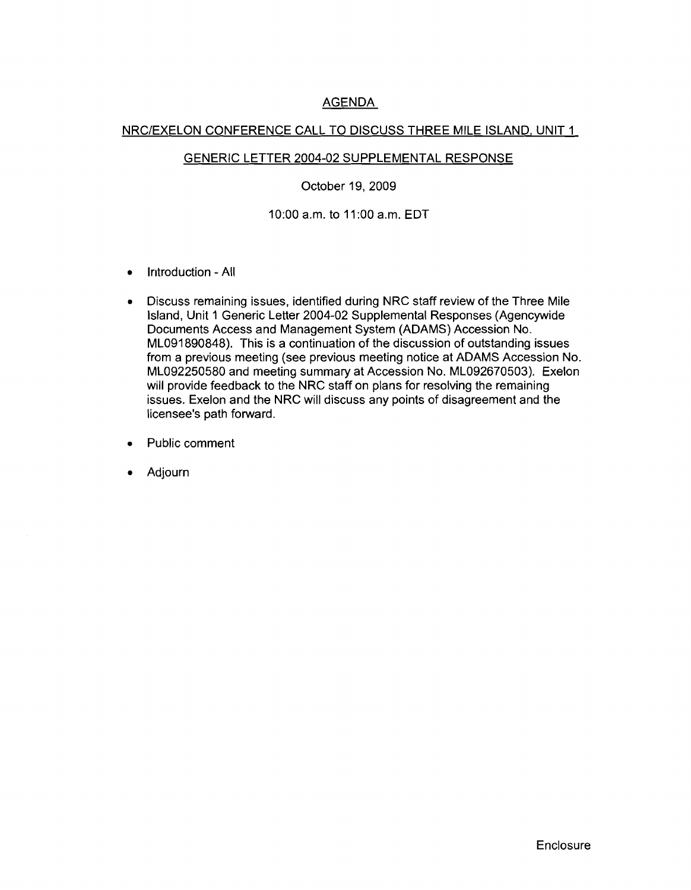# AGENDA

## NRC/EXELON CONFERENCE CALL TO DISCUSS THREE MILE ISLAND, UNIT 1

### GENERIC LETTER 2004-02 SUPPLEMENTAL RESPONSE

### October 19, 2009

10:00 a.m. to 11 :00 a.m. EDT

- Introduction All
- Discuss remaining issues, identified during NRC staff review of the Three Mile Island, Unit 1 Generic Letter 2004-02 Supplemental Responses (Agencywide Documents Access and Management System (ADAMS) Accession No. ML091890848). This is a continuation of the discussion of outstanding issues from a previous meeting (see previous meeting notice at ADAMS Accession No. ML092250580 and meeting summary at Accession No. ML092670503). Exelon will provide feedback to the NRC staff on plans for resolving the remaining issues. Exelon and the NRC will discuss any points of disagreement and the licensee's path forward.
- Public comment
- Adjourn